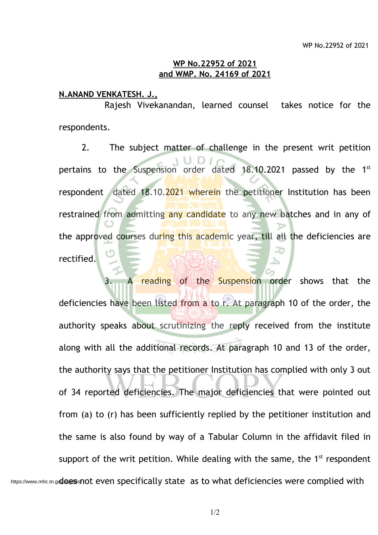## **WP No.22952 of 2021 and WMP. No. 24169 of 2021**

## **N.ANAND VENKATESH. J.,**

Rajesh Vivekanandan, learned counsel takes notice for the respondents.

2. The subject matter of challenge in the present writ petition pertains to the Suspension order dated 18.10.2021 passed by the 1<sup>st</sup> respondent dated 18.10.2021 wherein the petitioner Institution has been restrained from admitting any candidate to any new batches and in any of the approved courses during this academic year, till all the deficiencies are rectified.

A reading of the Suspension order shows that the deficiencies have been listed from a to r. At paragraph 10 of the order, the authority speaks about scrutinizing the reply received from the institute along with all the additional records. At paragraph 10 and 13 of the order, the authority says that the petitioner Institution has complied with only 3 out of 34 reported deficiencies. The major deficiencies that were pointed out from (a) to (r) has been sufficiently replied by the petitioner institution and the same is also found by way of a Tabular Column in the affidavit filed in support of the writ petition. While dealing with the same, the  $1<sup>st</sup>$  respondent https://www.mhc.tn.g**oloesisnot** even specifically state as to what deficiencies were complied with